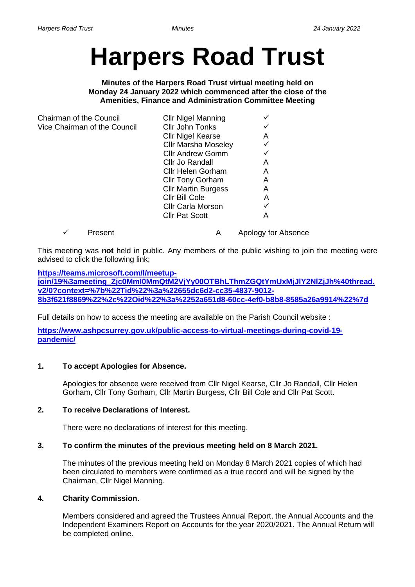# **Harpers Road Trust**

**Minutes of the Harpers Road Trust virtual meeting held on Monday 24 January 2022 which commenced after the close of the Amenities, Finance and Administration Committee Meeting**

| Chairman of the Council      | <b>Cllr Nigel Manning</b>  |   |
|------------------------------|----------------------------|---|
| Vice Chairman of the Council | Cllr John Tonks            |   |
|                              | <b>Cllr Nigel Kearse</b>   | Α |
|                              | <b>Cllr Marsha Moseley</b> |   |
|                              | <b>Cllr Andrew Gomm</b>    |   |
|                              | Cllr Jo Randall            | Α |
|                              | <b>Cllr Helen Gorham</b>   | A |
|                              | <b>Cllr Tony Gorham</b>    | A |
|                              | <b>Cllr Martin Burgess</b> | Α |
|                              | Cllr Bill Cole             | Α |
|                              | <b>Cllr Carla Morson</b>   |   |
|                              | <b>Cllr Pat Scott</b>      | А |
|                              |                            |   |

✓ Present A Apology for Absence

This meeting was **not** held in public. Any members of the public wishing to join the meeting were advised to click the following link;

## **[https://teams.microsoft.com/l/meetup-](https://teams.microsoft.com/l/meetup-join/19%3ameeting_Zjc0MmI0MmQtM2VjYy00OTBhLThmZGQtYmUxMjJlY2NlZjJh%40thread.v2/0?context=%7b%22Tid%22%3a%22655dc6d2-cc35-4837-9012-8b3f621f8869%22%2c%22Oid%22%3a%2252a651d8-60cc-4ef0-b8b8-8585a26a9914%22%7d)**

**[join/19%3ameeting\\_Zjc0MmI0MmQtM2VjYy00OTBhLThmZGQtYmUxMjJlY2NlZjJh%40thread.](https://teams.microsoft.com/l/meetup-join/19%3ameeting_Zjc0MmI0MmQtM2VjYy00OTBhLThmZGQtYmUxMjJlY2NlZjJh%40thread.v2/0?context=%7b%22Tid%22%3a%22655dc6d2-cc35-4837-9012-8b3f621f8869%22%2c%22Oid%22%3a%2252a651d8-60cc-4ef0-b8b8-8585a26a9914%22%7d) [v2/0?context=%7b%22Tid%22%3a%22655dc6d2-cc35-4837-9012-](https://teams.microsoft.com/l/meetup-join/19%3ameeting_Zjc0MmI0MmQtM2VjYy00OTBhLThmZGQtYmUxMjJlY2NlZjJh%40thread.v2/0?context=%7b%22Tid%22%3a%22655dc6d2-cc35-4837-9012-8b3f621f8869%22%2c%22Oid%22%3a%2252a651d8-60cc-4ef0-b8b8-8585a26a9914%22%7d) [8b3f621f8869%22%2c%22Oid%22%3a%2252a651d8-60cc-4ef0-b8b8-8585a26a9914%22%7d](https://teams.microsoft.com/l/meetup-join/19%3ameeting_Zjc0MmI0MmQtM2VjYy00OTBhLThmZGQtYmUxMjJlY2NlZjJh%40thread.v2/0?context=%7b%22Tid%22%3a%22655dc6d2-cc35-4837-9012-8b3f621f8869%22%2c%22Oid%22%3a%2252a651d8-60cc-4ef0-b8b8-8585a26a9914%22%7d)**

Full details on how to access the meeting are available on the Parish Council website :

**[https://www.ashpcsurrey.gov.uk/public-access-to-virtual-meetings-during-covid-19](https://www.ashpcsurrey.gov.uk/public-access-to-virtual-meetings-during-covid-19-pandemic/) [pandemic/](https://www.ashpcsurrey.gov.uk/public-access-to-virtual-meetings-during-covid-19-pandemic/)**

# **1. To accept Apologies for Absence.**

Apologies for absence were received from Cllr Nigel Kearse, Cllr Jo Randall, Cllr Helen Gorham, Cllr Tony Gorham, Cllr Martin Burgess, Cllr Bill Cole and Cllr Pat Scott.

# **2. To receive Declarations of Interest.**

There were no declarations of interest for this meeting.

#### **3. To confirm the minutes of the previous meeting held on 8 March 2021.**

The minutes of the previous meeting held on Monday 8 March 2021 copies of which had been circulated to members were confirmed as a true record and will be signed by the Chairman, Cllr Nigel Manning.

#### **4. Charity Commission.**

Members considered and agreed the Trustees Annual Report, the Annual Accounts and the Independent Examiners Report on Accounts for the year 2020/2021. The Annual Return will be completed online.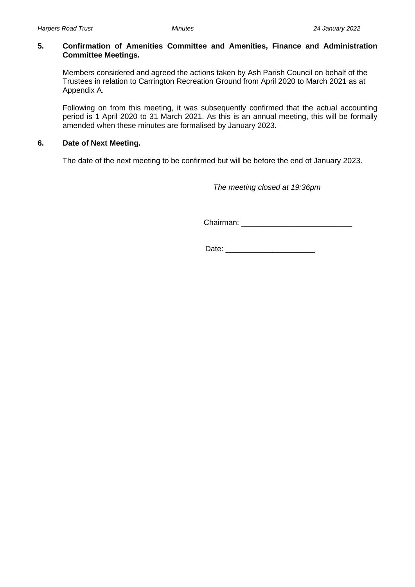#### **5. Confirmation of Amenities Committee and Amenities, Finance and Administration Committee Meetings.**

Members considered and agreed the actions taken by Ash Parish Council on behalf of the Trustees in relation to Carrington Recreation Ground from April 2020 to March 2021 as at Appendix A.

Following on from this meeting, it was subsequently confirmed that the actual accounting period is 1 April 2020 to 31 March 2021. As this is an annual meeting, this will be formally amended when these minutes are formalised by January 2023.

## **6. Date of Next Meeting.**

The date of the next meeting to be confirmed but will be before the end of January 2023.

 *The meeting closed at 19:36pm*

Chairman: \_\_\_\_\_\_\_\_\_\_\_\_\_\_\_\_\_\_\_\_\_\_\_\_\_\_

Date:  $\Box$